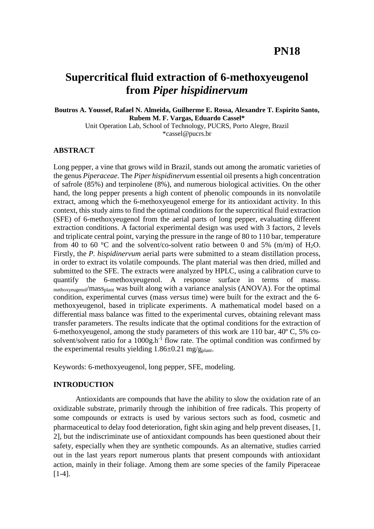## **PN18**

# **Supercritical fluid extraction of 6-methoxyeugenol from** *Piper hispidinervum*

**Boutros A. Youssef, Rafael N. Almeida, Guilherme E. Rossa, Alexandre T. Espirito Santo, Rubem M. F. Vargas, Eduardo Cassel\***

Unit Operation Lab, School of Technology, PUCRS, Porto Alegre, Brazil \*cassel@pucrs.br

## **ABSTRACT**

Long pepper, a vine that grows wild in Brazil, stands out among the aromatic varieties of the genus *Piperaceae*. The *Piper hispidinervum* essential oil presents a high concentration of safrole (85%) and terpinolene (8%), and numerous biological activities. On the other hand, the long pepper presents a high content of phenolic compounds in its nonvolatile extract, among which the 6-methoxyeugenol emerge for its antioxidant activity. In this context, this study aims to find the optimal conditions for the supercritical fluid extraction (SFE) of 6-methoxyeugenol from the aerial parts of long pepper, evaluating different extraction conditions. A factorial experimental design was used with 3 factors, 2 levels and triplicate central point, varying the pressure in the range of 80 to 110 bar, temperature from 40 to 60 °C and the solvent/co-solvent ratio between 0 and 5% (m/m) of H<sub>2</sub>O. Firstly, the *P. hispidinervum* aerial parts were submitted to a steam distillation process, in order to extract its volatile compounds. The plant material was then dried, milled and submitted to the SFE. The extracts were analyzed by HPLC, using a calibration curve to quantify the 6-methoxyeugenol. A response surface in terms of mass<sub>6-</sub> methoxyeugenol/massplant was built along with a variance analysis (ANOVA). For the optimal condition, experimental curves (mass *versus* time) were built for the extract and the 6 methoxyeugenol, based in triplicate experiments. A mathematical model based on a differential mass balance was fitted to the experimental curves, obtaining relevant mass transfer parameters. The results indicate that the optimal conditions for the extraction of 6-methoxyeugenol, among the study parameters of this work are 110 bar, 40º C, 5% cosolvent/solvent ratio for a  $1000g.h^{-1}$  flow rate. The optimal condition was confirmed by the experimental results yielding  $1.86\pm0.21$  mg/g<sub>plant</sub>.

Keywords: 6-methoxyeugenol, long pepper, SFE, modeling.

## **INTRODUCTION**

Antioxidants are compounds that have the ability to slow the oxidation rate of an oxidizable substrate, primarily through the inhibition of free radicals. This property of some compounds or extracts is used by various sectors such as food, cosmetic and pharmaceutical to delay food deterioration, fight skin aging and help prevent diseases, [1, 2], but the indiscriminate use of antioxidant compounds has been questioned about their safety, especially when they are synthetic compounds. As an alternative, studies carried out in the last years report numerous plants that present compounds with antioxidant action, mainly in their foliage. Among them are some species of the family Piperaceae [1-4].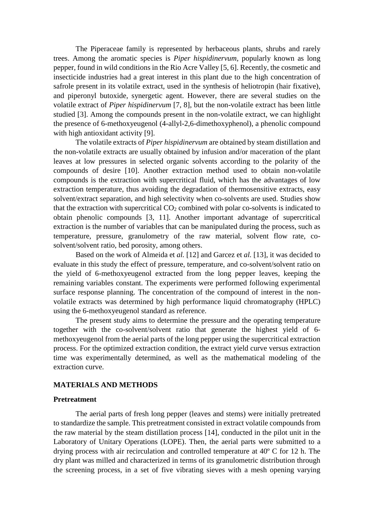The Piperaceae family is represented by herbaceous plants, shrubs and rarely trees. Among the aromatic species is *Piper hispidinervum*, popularly known as long pepper, found in wild conditions in the Rio Acre Valley [5, 6]. Recently, the cosmetic and insecticide industries had a great interest in this plant due to the high concentration of safrole present in its volatile extract, used in the synthesis of heliotropin (hair fixative), and piperonyl butoxide, synergetic agent. However, there are several studies on the volatile extract of *Piper hispidinervum* [7, 8], but the non-volatile extract has been little studied [3]. Among the compounds present in the non-volatile extract, we can highlight the presence of 6-methoxyeugenol (4-allyl-2,6-dimethoxyphenol), a phenolic compound with high antioxidant activity [9].

The volatile extracts of *Piper hispidinervum* are obtained by steam distillation and the non-volatile extracts are usually obtained by infusion and/or maceration of the plant leaves at low pressures in selected organic solvents according to the polarity of the compounds of desire [10]. Another extraction method used to obtain non-volatile compounds is the extraction with supercritical fluid, which has the advantages of low extraction temperature, thus avoiding the degradation of thermosensitive extracts, easy solvent/extract separation, and high selectivity when co-solvents are used. Studies show that the extraction with supercritical  $CO<sub>2</sub>$  combined with polar co-solvents is indicated to obtain phenolic compounds [3, 11]. Another important advantage of supercritical extraction is the number of variables that can be manipulated during the process, such as temperature, pressure, granulometry of the raw material, solvent flow rate, cosolvent/solvent ratio, bed porosity, among others.

Based on the work of Almeida et *al.* [12] and Garcez et *al.* [13], it was decided to evaluate in this study the effect of pressure, temperature, and co-solvent/solvent ratio on the yield of 6-methoxyeugenol extracted from the long pepper leaves, keeping the remaining variables constant. The experiments were performed following experimental surface response planning. The concentration of the compound of interest in the nonvolatile extracts was determined by high performance liquid chromatography (HPLC) using the 6-methoxyeugenol standard as reference.

The present study aims to determine the pressure and the operating temperature together with the co-solvent/solvent ratio that generate the highest yield of 6 methoxyeugenol from the aerial parts of the long pepper using the supercritical extraction process. For the optimized extraction condition, the extract yield curve versus extraction time was experimentally determined, as well as the mathematical modeling of the extraction curve.

#### **MATERIALS AND METHODS**

#### **Pretreatment**

The aerial parts of fresh long pepper (leaves and stems) were initially pretreated to standardize the sample. This pretreatment consisted in extract volatile compounds from the raw material by the steam distillation process [14], conducted in the pilot unit in the Laboratory of Unitary Operations (LOPE). Then, the aerial parts were submitted to a drying process with air recirculation and controlled temperature at 40º C for 12 h. The dry plant was milled and characterized in terms of its granulometric distribution through the screening process, in a set of five vibrating sieves with a mesh opening varying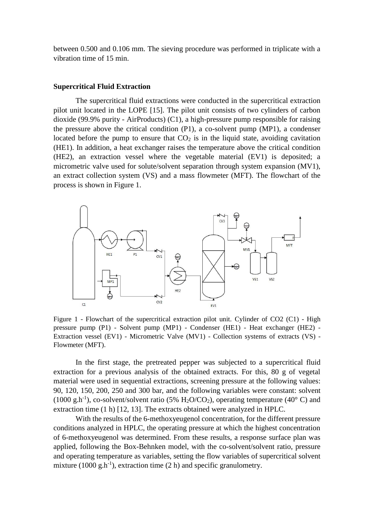between 0.500 and 0.106 mm. The sieving procedure was performed in triplicate with a vibration time of 15 min.

#### **Supercritical Fluid Extraction**

The supercritical fluid extractions were conducted in the supercritical extraction pilot unit located in the LOPE [15]. The pilot unit consists of two cylinders of carbon dioxide (99.9% purity - AirProducts) (C1), a high-pressure pump responsible for raising the pressure above the critical condition (P1), a co-solvent pump (MP1), a condenser located before the pump to ensure that  $CO<sub>2</sub>$  is in the liquid state, avoiding cavitation (HE1). In addition, a heat exchanger raises the temperature above the critical condition (HE2), an extraction vessel where the vegetable material (EV1) is deposited; a micrometric valve used for solute/solvent separation through system expansion (MV1), an extract collection system (VS) and a mass flowmeter (MFT). The flowchart of the process is shown in Figure 1.



Figure 1 - Flowchart of the supercritical extraction pilot unit. Cylinder of CO2 (C1) - High pressure pump (P1) - Solvent pump (MP1) - Condenser (HE1) - Heat exchanger (HE2) - Extraction vessel (EV1) - Micrometric Valve (MV1) - Collection systems of extracts (VS) - Flowmeter (MFT).

In the first stage, the pretreated pepper was subjected to a supercritical fluid extraction for a previous analysis of the obtained extracts. For this, 80 g of vegetal material were used in sequential extractions, screening pressure at the following values: 90, 120, 150, 200, 250 and 300 bar, and the following variables were constant: solvent (1000 g.h<sup>-1</sup>), co-solvent/solvent ratio (5%  $H_2O/CO_2$ ), operating temperature (40° C) and extraction time (1 h) [12, 13]. The extracts obtained were analyzed in HPLC.

With the results of the 6-methoxyeugenol concentration, for the different pressure conditions analyzed in HPLC, the operating pressure at which the highest concentration of 6-methoxyeugenol was determined. From these results, a response surface plan was applied, following the Box-Behnken model, with the co-solvent/solvent ratio, pressure and operating temperature as variables, setting the flow variables of supercritical solvent mixture (1000 g.h<sup>-1</sup>), extraction time (2 h) and specific granulometry.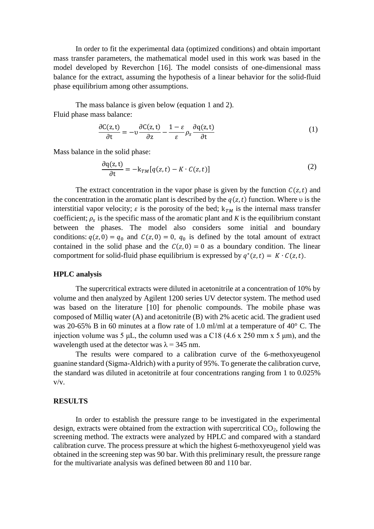In order to fit the experimental data (optimized conditions) and obtain important mass transfer parameters, the mathematical model used in this work was based in the model developed by Reverchon [16]. The model consists of one-dimensional mass balance for the extract, assuming the hypothesis of a linear behavior for the solid-fluid phase equilibrium among other assumptions.

The mass balance is given below (equation 1 and 2). Fluid phase mass balance:

$$
\frac{\partial C(z,t)}{\partial t} = -v \frac{\partial C(z,t)}{\partial z} - \frac{1-\varepsilon}{\varepsilon} \rho_s \frac{\partial q(z,t)}{\partial t}
$$
(1)

Mass balance in the solid phase:

$$
\frac{\partial q(z,t)}{\partial t} = -k_{TM}[q(z,t) - K \cdot C(z,t)] \tag{2}
$$

The extract concentration in the vapor phase is given by the function  $C(z, t)$  and the concentration in the aromatic plant is described by the  $q(z,t)$  function. Where *v* is the interstitial vapor velocity;  $\varepsilon$  is the porosity of the bed;  $k_{TM}$  is the internal mass transfer coefficient;  $\rho_s$  is the specific mass of the aromatic plant and *K* is the equilibrium constant between the phases. The model also considers some initial and boundary conditions:  $q(z, 0) = q_0$  and  $C(z, 0) = 0$ ,  $q_0$  is defined by the total amount of extract contained in the solid phase and the  $C(z, 0) = 0$  as a boundary condition. The linear comportment for solid-fluid phase equilibrium is expressed by  $q^*(z,t) = K \cdot C(z,t)$ .

#### **HPLC analysis**

The supercritical extracts were diluted in acetonitrile at a concentration of 10% by volume and then analyzed by Agilent 1200 series UV detector system. The method used was based on the literature [10] for phenolic compounds. The mobile phase was composed of Milliq water (A) and acetonitrile (B) with 2% acetic acid. The gradient used was 20-65% B in 60 minutes at a flow rate of 1.0 ml/ml at a temperature of 40° C. The injection volume was 5  $\mu$ L, the column used was a C18 (4.6 x 250 mm x 5  $\mu$ m), and the wavelength used at the detector was  $\lambda = 345$  nm.

The results were compared to a calibration curve of the 6-methoxyeugenol guanine standard (Sigma-Aldrich) with a purity of 95%. To generate the calibration curve, the standard was diluted in acetonitrile at four concentrations ranging from 1 to 0.025% v/v.

#### **RESULTS**

In order to establish the pressure range to be investigated in the experimental design, extracts were obtained from the extraction with supercritical  $CO<sub>2</sub>$ , following the screening method. The extracts were analyzed by HPLC and compared with a standard calibration curve. The process pressure at which the highest 6-methoxyeugenol yield was obtained in the screening step was 90 bar. With this preliminary result, the pressure range for the multivariate analysis was defined between 80 and 110 bar.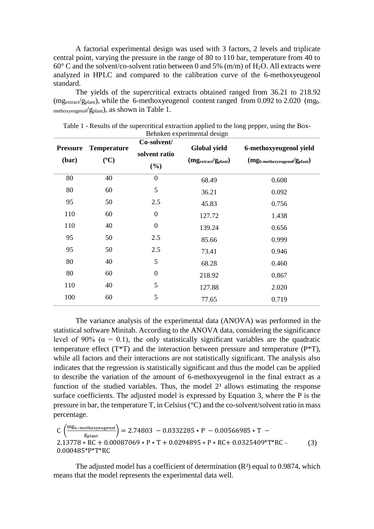A factorial experimental design was used with 3 factors, 2 levels and triplicate central point, varying the pressure in the range of 80 to 110 bar, temperature from 40 to  $60^{\circ}$  C and the solvent/co-solvent ratio between 0 and 5% (m/m) of H<sub>2</sub>O. All extracts were analyzed in HPLC and compared to the calibration curve of the 6-methoxyeugenol standard.

The yields of the supercritical extracts obtained ranged from 36.21 to 218.92  $(mg_{\text{extract}}/g_{\text{plant}})$ , while the 6-methoxyeugenol content ranged from 0.092 to 2.020  $(mg_{\text{6}})$ methoxyeugenol/gplant), as shown in Table 1.

| <b>Pressure</b><br>(bar) | <b>Temperature</b><br>$(^{\circ}C)$ | Co-solvent/<br>solvent ratio<br>$(\%)$ | <b>Global yield</b><br>$(mgextract/gplant)$ | 6-methoxyeugenol yield<br>$(mg6-methoxyeugenol/gplant)$ |
|--------------------------|-------------------------------------|----------------------------------------|---------------------------------------------|---------------------------------------------------------|
| 80                       | 40                                  | $\boldsymbol{0}$                       | 68.49                                       | 0.608                                                   |
| 80                       | 60                                  | 5                                      | 36.21                                       | 0.092                                                   |
| 95                       | 50                                  | 2.5                                    | 45.83                                       | 0.756                                                   |
| 110                      | 60                                  | $\boldsymbol{0}$                       | 127.72                                      | 1.438                                                   |
| 110                      | 40                                  | $\boldsymbol{0}$                       | 139.24                                      | 0.656                                                   |
| 95                       | 50                                  | 2.5                                    | 85.66                                       | 0.999                                                   |
| 95                       | 50                                  | 2.5                                    | 73.41                                       | 0.946                                                   |
| 80                       | 40                                  | 5                                      | 68.28                                       | 0.460                                                   |
| 80                       | 60                                  | $\boldsymbol{0}$                       | 218.92                                      | 0.867                                                   |
| 110                      | 40                                  | 5                                      | 127.88                                      | 2.020                                                   |
| 100                      | 60                                  | 5                                      | 77.65                                       | 0.719                                                   |

Table 1 - Results of the supercritical extraction applied to the long pepper, using the Box-Behnken experimental design

The variance analysis of the experimental data (ANOVA) was performed in the statistical software Minitab. According to the ANOVA data, considering the significance level of 90% ( $\alpha = 0.1$ ), the only statistically significant variables are the quadratic temperature effect  $(T^*T)$  and the interaction between pressure and temperature  $(P^*T)$ , while all factors and their interactions are not statistically significant. The analysis also indicates that the regression is statistically significant and thus the model can be applied to describe the variation of the amount of 6-methoxyeugenol in the final extract as a function of the studied variables. Thus, the model  $2<sup>3</sup>$  allows estimating the response surface coefficients. The adjusted model is expressed by Equation 3, where the P is the pressure in bar, the temperature T, in Celsius (°C) and the co-solvent/solvent ratio in mass percentage.

 $C\left(\frac{mg_{6-methoxyeugenol}}{gplanat}\right) = 2.74803 - 0.0332285*P - 0.00566985*T -$ 2.13778 ∗ RC + 0.00087069 ∗ P ∗ T + 0.0294895 ∗ P ∗ RC+ 0.0325409\*T\*RC – 0.000485\*P\*T\*RC (3)

The adjusted model has a coefficient of determination (R²) equal to 0.9874, which means that the model represents the experimental data well.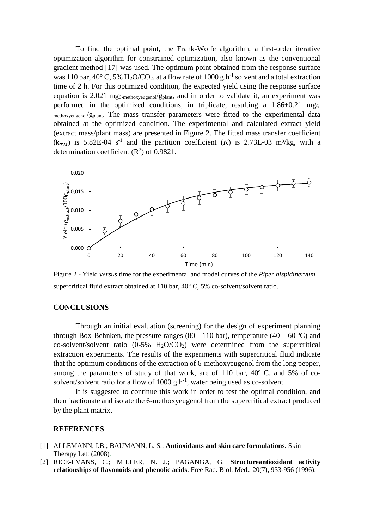To find the optimal point, the Frank-Wolfe algorithm, a first-order iterative optimization algorithm for constrained optimization, also known as the conventional gradient method [17] was used. The optimum point obtained from the response surface was 110 bar,  $40^{\circ}$  C, 5% H<sub>2</sub>O/CO<sub>2</sub>, at a flow rate of 1000 g.h<sup>-1</sup> solvent and a total extraction time of 2 h. For this optimized condition, the expected yield using the response surface equation is 2.021 mg<sub>6-methoxyeugenol</sub>/g<sub>plant</sub>, and in order to validate it, an experiment was performed in the optimized conditions, in triplicate, resulting a  $1.86\pm0.21$  mg<sub>6</sub> $methoxvenoenol/gnlant.$  The mass transfer parameters were fitted to the experimental data obtained at the optimized condition. The experimental and calculated extract yield (extract mass/plant mass) are presented in Figure 2. The fitted mass transfer coefficient  $(k_{TM})$  is 5.82E-04 s<sup>-1</sup> and the partition coefficient (*K*) is 2.73E-03 m<sup>3</sup>/kg, with a determination coefficient  $(R<sup>2</sup>)$  of 0.9821.



Figure 2 - Yield *versus* time for the experimental and model curves of the *Piper hispidinervum* supercritical fluid extract obtained at 110 bar, 40° C, 5% co-solvent/solvent ratio.

### **CONCLUSIONS**

Through an initial evaluation (screening) for the design of experiment planning through Box-Behnken, the pressure ranges (80 - 110 bar), temperature (40 – 60 °C) and co-solvent/solvent ratio  $(0-5\% \text{ H}_2\text{O}/\text{CO}_2)$  were determined from the supercritical extraction experiments. The results of the experiments with supercritical fluid indicate that the optimum conditions of the extraction of 6-methoxyeugenol from the long pepper, among the parameters of study of that work, are of 110 bar, 40º C, and 5% of cosolvent/solvent ratio for a flow of  $1000 \text{ g.h}^{-1}$ , water being used as co-solvent

It is suggested to continue this work in order to test the optimal condition, and then fractionate and isolate the 6-methoxyeugenol from the supercritical extract produced by the plant matrix.

#### **REFERENCES**

- [1] ALLEMANN, I.B.; BAUMANN, L. S.; **Antioxidants and skin care formulations.** Skin Therapy Lett (2008).
- [2] RICE-EVANS, C.; MILLER, N. J.; PAGANGA, G. **Structureantioxidant activity relationships of flavonoids and phenolic acids**. Free Rad. Biol. Med., 20(7), 933-956 (1996).